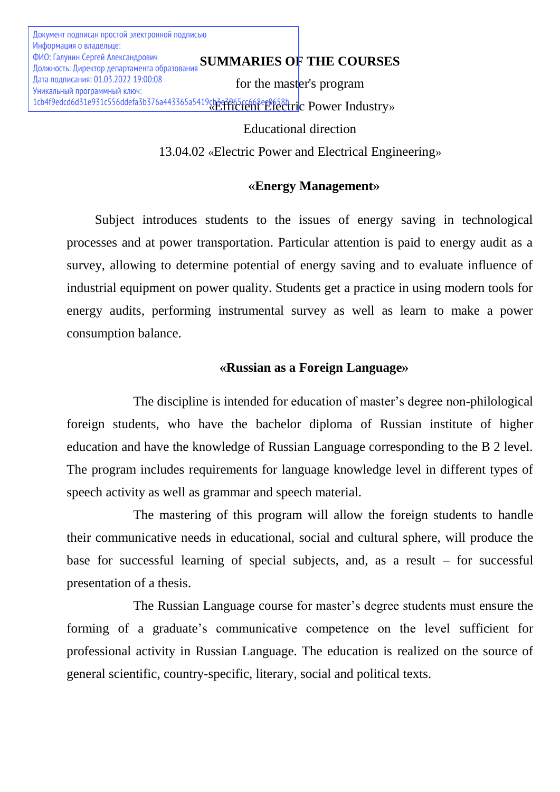**SUMMARIES OF THE COURSES** ФИО: Галунин Сергей Александрович for the master's program 1cb4f9edcd6d31e931c556ddefa3b376a443365a5419cb3e3965rc668er8fe8hric Power Industry» Документ подписан простой электронной подписью Информация о владельце: Должность: Директор департамента образования Дата подписания: 01.03.2022 19:00:08 Уникальный программный ключ:

Educational direction

13.04.02 «Electric Power and Electrical Engineering»

# **«Energy Management»**

Subject introduces students to the issues of energy saving in technological processes and at power transportation. Particular attention is paid to energy audit as a survey, allowing to determine potential of energy saving and to evaluate influence of industrial equipment on power quality. Students get a practice in using modern tools for energy audits, performing instrumental survey as well as learn to make a power consumption balance.

# **«Russian as a Foreign Language»**

The discipline is intended for education of master's degree non-philological foreign students, who have the bachelor diploma of Russian institute of higher education and have the knowledge of Russian Language corresponding to the B 2 level. The program includes requirements for language knowledge level in different types of speech activity as well as grammar and speech material.

The mastering of this program will allow the foreign students to handle their communicative needs in educational, social and cultural sphere, will produce the base for successful learning of special subjects, and, as a result – for successful presentation of a thesis.

The Russian Language course for master's degree students must ensure the forming of a graduate's communicative competence on the level sufficient for professional activity in Russian Language. The education is realized on the source of general scientific, country-specific, literary, social and political texts.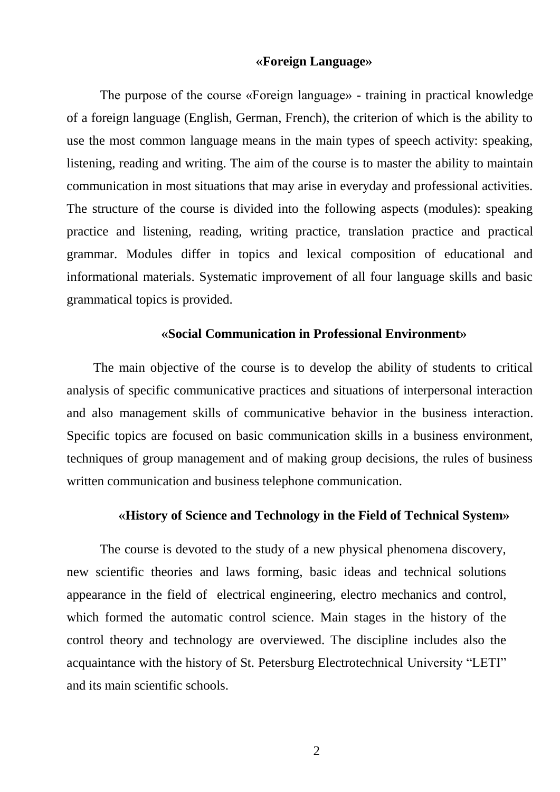#### **«Foreign Language»**

The purpose of the course «Foreign language» - training in practical knowledge of a foreign language (English, German, French), the criterion of which is the ability to use the most common language means in the main types of speech activity: speaking, listening, reading and writing. The aim of the course is to master the ability to maintain communication in most situations that may arise in everyday and professional activities. The structure of the course is divided into the following aspects (modules): speaking practice and listening, reading, writing practice, translation practice and practical grammar. Modules differ in topics and lexical composition of educational and informational materials. Systematic improvement of all four language skills and basic grammatical topics is provided.

#### **«Social Communication in Professional Environment»**

The main objective of the course is to develop the ability of students to critical analysis of specific communicative practices and situations of interpersonal interaction and also management skills of communicative behavior in the business interaction. Specific topics are focused on basic communication skills in a business environment, techniques of group management and of making group decisions, the rules of business written communication and business telephone communication.

## **«History of Science and Technology in the Field of Technical System»**

The course is devoted to the study of a new physical phenomena discovery, new scientific theories and laws forming, basic ideas and technical solutions appearance in the field of electrical engineering, electro mechanics and control, which formed the automatic control science. Main stages in the history of the control theory and technology are overviewed. The discipline includes also the acquaintance with the history of St. Petersburg Electrotechnical University "LETI" and its main scientific schools.

2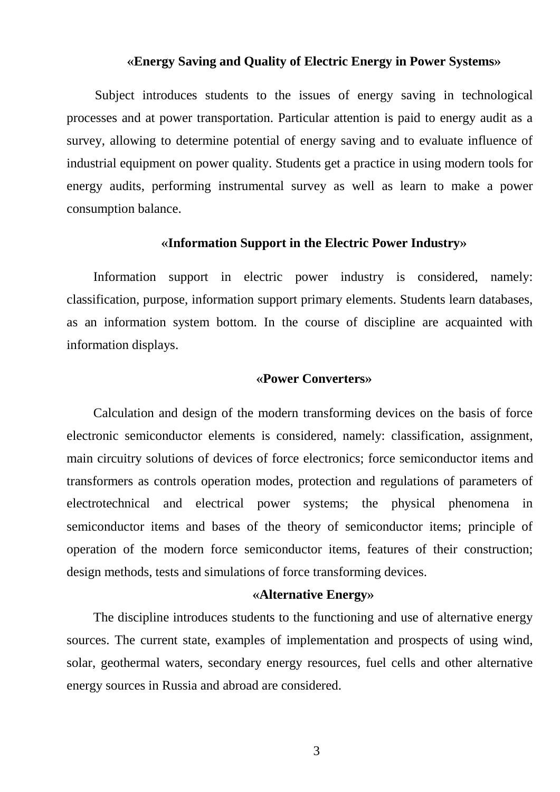#### **«Energy Saving and Quality of Electric Energy in Power Systems»**

Subject introduces students to the issues of energy saving in technological processes and at power transportation. Particular attention is paid to energy audit as a survey, allowing to determine potential of energy saving and to evaluate influence of industrial equipment on power quality. Students get a practice in using modern tools for energy audits, performing instrumental survey as well as learn to make a power consumption balance.

#### **«Information Support in the Electric Power Industry»**

Information support in electric power industry is considered, namely: classification, purpose, information support primary elements. Students learn databases, as an information system bottom. In the course of discipline are acquainted with information displays.

#### **«Power Converters»**

Calculation and design of the modern transforming devices on the basis of force electronic semiconductor elements is considered, namely: classification, assignment, main circuitry solutions of devices of force electronics; force semiconductor items and transformers as controls operation modes, protection and regulations of parameters of electrotechnical and electrical power systems; the physical phenomena in semiconductor items and bases of the theory of semiconductor items; principle of operation of the modern force semiconductor items, features of their construction; design methods, tests and simulations of force transforming devices.

### **«Alternative Energy»**

The discipline introduces students to the functioning and use of alternative energy sources. The current state, examples of implementation and prospects of using wind, solar, geothermal waters, secondary energy resources, fuel cells and other alternative energy sources in Russia and abroad are considered.

3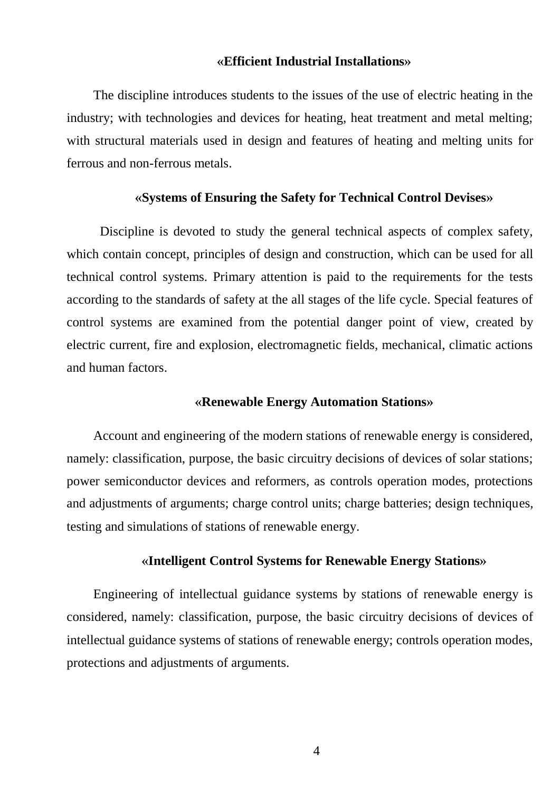#### **«Efficient Industrial Installations»**

The discipline introduces students to the issues of the use of electric heating in the industry; with technologies and devices for heating, heat treatment and metal melting; with structural materials used in design and features of heating and melting units for ferrous and non-ferrous metals.

#### **«Systems of Ensuring the Safety for Technical Control Devises»**

Discipline is devoted to study the general technical aspects of complex safety, which contain concept, principles of design and construction, which can be used for all technical control systems. Primary attention is paid to the requirements for the tests according to the standards of safety at the all stages of the life cycle. Special features of control systems are examined from the potential danger point of view, created by electric current, fire and explosion, electromagnetic fields, mechanical, climatic actions and human factors.

#### **«Renewable Energy Automation Stations»**

Account and engineering of the modern stations of renewable energy is considered, namely: classification, purpose, the basic circuitry decisions of devices of solar stations; power semiconductor devices and reformers, as controls operation modes, protections and adjustments of arguments; charge control units; charge batteries; design techniques, testing and simulations of stations of renewable energy.

#### **«Intelligent Control Systems for Renewable Energy Stations»**

Engineering of intellectual guidance systems by stations of renewable energy is considered, namely: classification, purpose, the basic circuitry decisions of devices of intellectual guidance systems of stations of renewable energy; controls operation modes, protections and adjustments of arguments.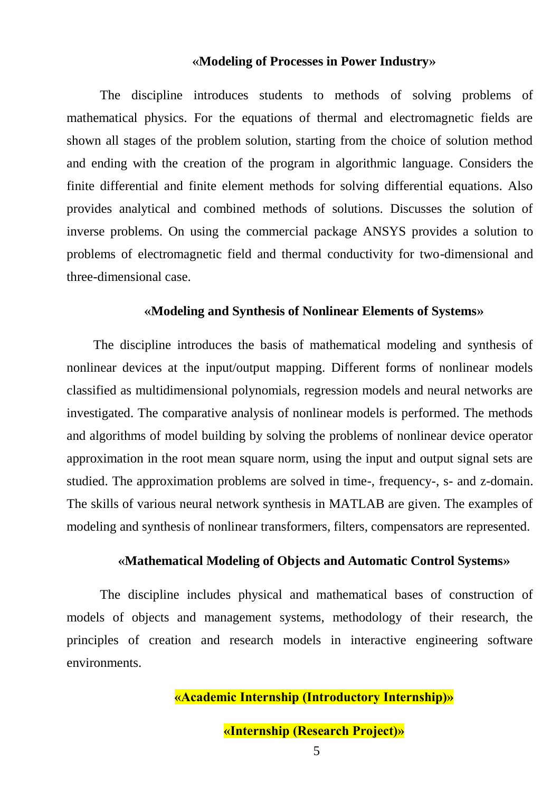#### **«Modeling of Processes in Power Industry»**

The discipline introduces students to methods of solving problems of mathematical physics. For the equations of thermal and electromagnetic fields are shown all stages of the problem solution, starting from the choice of solution method and ending with the creation of the program in algorithmic language. Considers the finite differential and finite element methods for solving differential equations. Also provides analytical and combined methods of solutions. Discusses the solution of inverse problems. On using the commercial package ANSYS provides a solution to problems of electromagnetic field and thermal conductivity for two-dimensional and three-dimensional case.

#### **«Modeling and Synthesis of Nonlinear Elements of Systems»**

The discipline introduces the basis of mathematical modeling and synthesis of nonlinear devices at the input/output mapping. Different forms of nonlinear models classified as multidimensional polynomials, regression models and neural networks are investigated. The comparative analysis of nonlinear models is performed. The methods and algorithms of model building by solving the problems of nonlinear device operator approximation in the root mean square norm, using the input and output signal sets are studied. The approximation problems are solved in time-, frequency-, s- and z-domain. The skills of various neural network synthesis in MATLAB are given. The examples of modeling and synthesis of nonlinear transformers, filters, compensators are represented.

## **«Mathematical Modeling of Objects and Automatic Control Systems»**

The discipline includes physical and mathematical bases of construction of models of objects and management systems, methodology of their research, the principles of creation and research models in interactive engineering software environments.

# **«Academic Internship (Introductory Internship)»**

**«Internship (Research Project)»**